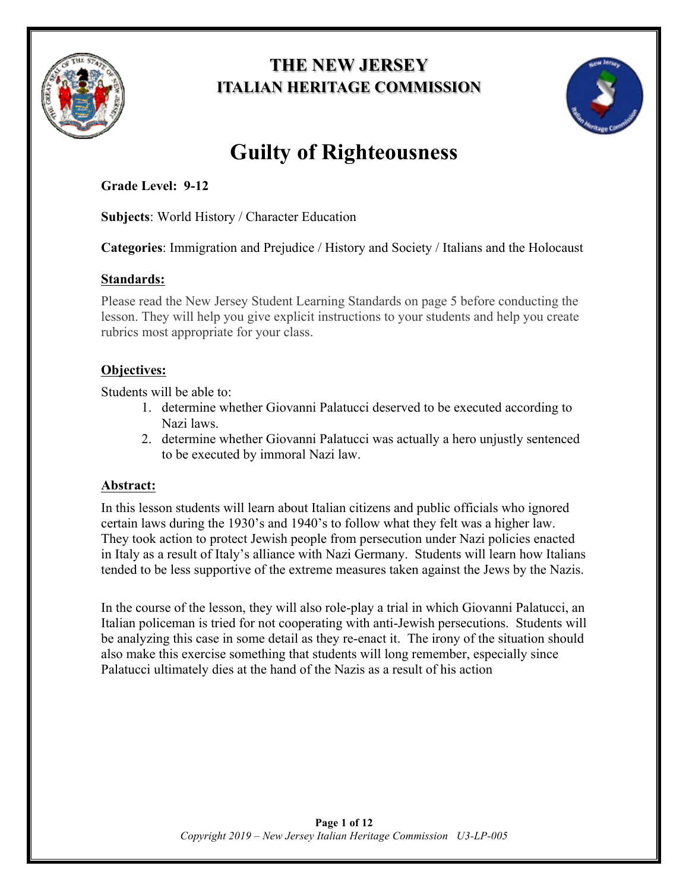

## **THE NEW JERSEY ITALIAN HERITAGE COMMISSION**



# **Guilty of Righteousness**

## **Grade Level: 9-12**

**Subjects**: World History / Character Education

**Categories**: Immigration and Prejudice / History and Society / Italians and the Holocaust

## **Standards:**

Please read the New Jersey Student Learning Standards on page 5 before conducting the lesson. They will help you give explicit instructions to your students and help you create rubrics most appropriate for your class.

## **Objectives:**

Students will be able to:

- 1. determine whether Giovanni Palatucci deserved to be executed according to Nazi laws.
- 2. determine whether Giovanni Palatucci was actually a hero unjustly sentenced to be executed by immoral Nazi law.

## **Abstract:**

In this lesson students will learn about Italian citizens and public officials who ignored certain laws during the 1930's and 1940's to follow what they felt was a higher law. They took action to protect Jewish people from persecution under Nazi policies enacted in Italy as a result of Italy's alliance with Nazi Germany. Students will learn how Italians tended to be less supportive of the extreme measures taken against the Jews by the Nazis.

In the course of the lesson, they will also role-play a trial in which Giovanni Palatucci, an Italian policeman is tried for not cooperating with anti-Jewish persecutions. Students will be analyzing this case in some detail as they re-enact it. The irony of the situation should also make this exercise something that students will long remember, especially since Palatucci ultimately dies at the hand of the Nazis as a result of his action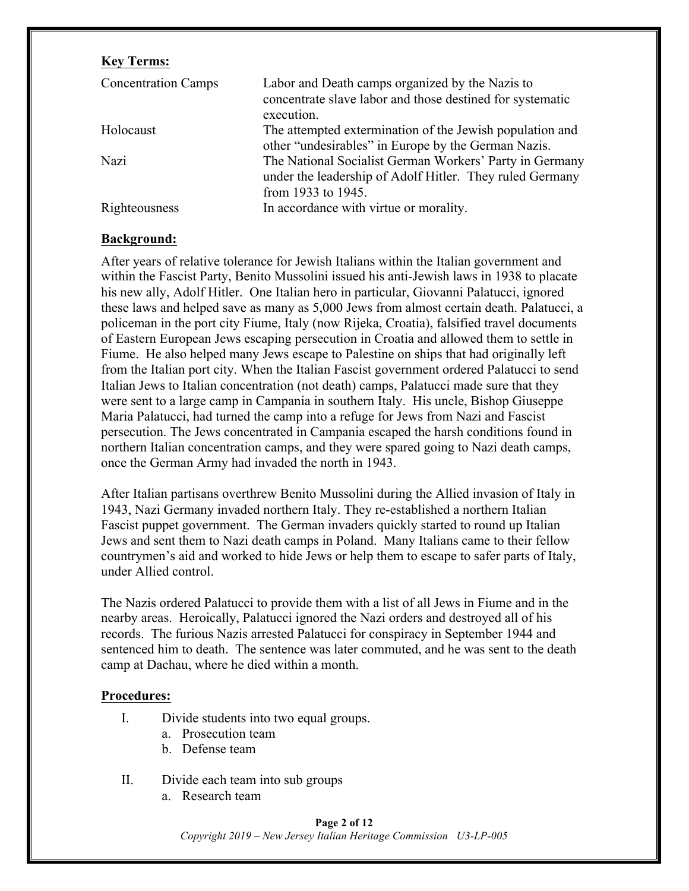#### **Key Terms:**

| <b>Concentration Camps</b> | Labor and Death camps organized by the Nazis to<br>concentrate slave labor and those destined for systematic<br>execution.                |
|----------------------------|-------------------------------------------------------------------------------------------------------------------------------------------|
| Holocaust                  | The attempted extermination of the Jewish population and<br>other "undesirables" in Europe by the German Nazis.                           |
| Nazi                       | The National Socialist German Workers' Party in Germany<br>under the leadership of Adolf Hitler. They ruled Germany<br>from 1933 to 1945. |
| Righteousness              | In accordance with virtue or morality.                                                                                                    |

#### **Background:**

After years of relative tolerance for Jewish Italians within the Italian government and within the Fascist Party, Benito Mussolini issued his anti-Jewish laws in 1938 to placate his new ally, Adolf Hitler. One Italian hero in particular, Giovanni Palatucci, ignored these laws and helped save as many as 5,000 Jews from almost certain death. Palatucci, a policeman in the port city Fiume, Italy (now Rijeka, Croatia), falsified travel documents of Eastern European Jews escaping persecution in Croatia and allowed them to settle in Fiume. He also helped many Jews escape to Palestine on ships that had originally left from the Italian port city. When the Italian Fascist government ordered Palatucci to send Italian Jews to Italian concentration (not death) camps, Palatucci made sure that they were sent to a large camp in Campania in southern Italy. His uncle, Bishop Giuseppe Maria Palatucci, had turned the camp into a refuge for Jews from Nazi and Fascist persecution. The Jews concentrated in Campania escaped the harsh conditions found in northern Italian concentration camps, and they were spared going to Nazi death camps, once the German Army had invaded the north in 1943.

After Italian partisans overthrew Benito Mussolini during the Allied invasion of Italy in 1943, Nazi Germany invaded northern Italy. They re-established a northern Italian Fascist puppet government. The German invaders quickly started to round up Italian Jews and sent them to Nazi death camps in Poland. Many Italians came to their fellow countrymen's aid and worked to hide Jews or help them to escape to safer parts of Italy, under Allied control.

The Nazis ordered Palatucci to provide them with a list of all Jews in Fiume and in the nearby areas. Heroically, Palatucci ignored the Nazi orders and destroyed all of his records. The furious Nazis arrested Palatucci for conspiracy in September 1944 and sentenced him to death. The sentence was later commuted, and he was sent to the death camp at Dachau, where he died within a month.

#### **Procedures:**

- I. Divide students into two equal groups.
	- a. Prosecution team
	- b. Defense team
- II. Divide each team into sub groups
	- a. Research team

**Page 2 of 12** *Copyright 2019 – New Jersey Italian Heritage Commission U3-LP-005*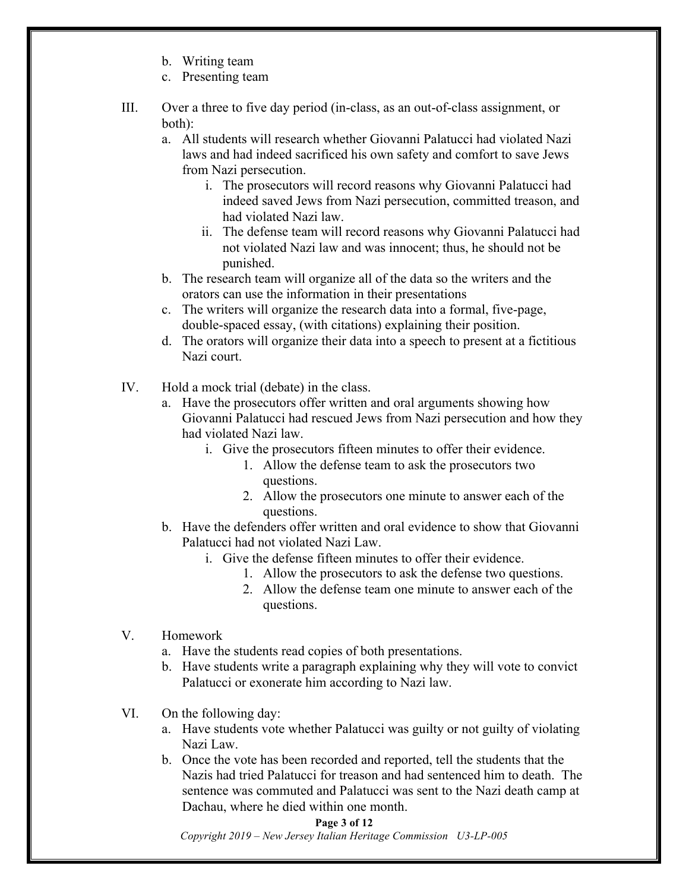- b. Writing team
- c. Presenting team
- III. Over a three to five day period (in-class, as an out-of-class assignment, or both):
	- a. All students will research whether Giovanni Palatucci had violated Nazi laws and had indeed sacrificed his own safety and comfort to save Jews from Nazi persecution.
		- i. The prosecutors will record reasons why Giovanni Palatucci had indeed saved Jews from Nazi persecution, committed treason, and had violated Nazi law.
		- ii. The defense team will record reasons why Giovanni Palatucci had not violated Nazi law and was innocent; thus, he should not be punished.
	- b. The research team will organize all of the data so the writers and the orators can use the information in their presentations
	- c. The writers will organize the research data into a formal, five-page, double-spaced essay, (with citations) explaining their position.
	- d. The orators will organize their data into a speech to present at a fictitious Nazi court.
- IV. Hold a mock trial (debate) in the class.
	- a. Have the prosecutors offer written and oral arguments showing how Giovanni Palatucci had rescued Jews from Nazi persecution and how they had violated Nazi law.
		- i. Give the prosecutors fifteen minutes to offer their evidence.
			- 1. Allow the defense team to ask the prosecutors two questions.
			- 2. Allow the prosecutors one minute to answer each of the questions.
	- b. Have the defenders offer written and oral evidence to show that Giovanni Palatucci had not violated Nazi Law.
		- i. Give the defense fifteen minutes to offer their evidence.
			- 1. Allow the prosecutors to ask the defense two questions.
			- 2. Allow the defense team one minute to answer each of the questions.
- V. Homework
	- a. Have the students read copies of both presentations.
	- b. Have students write a paragraph explaining why they will vote to convict Palatucci or exonerate him according to Nazi law.
- VI. On the following day:
	- a. Have students vote whether Palatucci was guilty or not guilty of violating Nazi Law.
	- b. Once the vote has been recorded and reported, tell the students that the Nazis had tried Palatucci for treason and had sentenced him to death. The sentence was commuted and Palatucci was sent to the Nazi death camp at Dachau, where he died within one month.

#### **Page 3 of 12**

*Copyright 2019 – New Jersey Italian Heritage Commission U3-LP-005*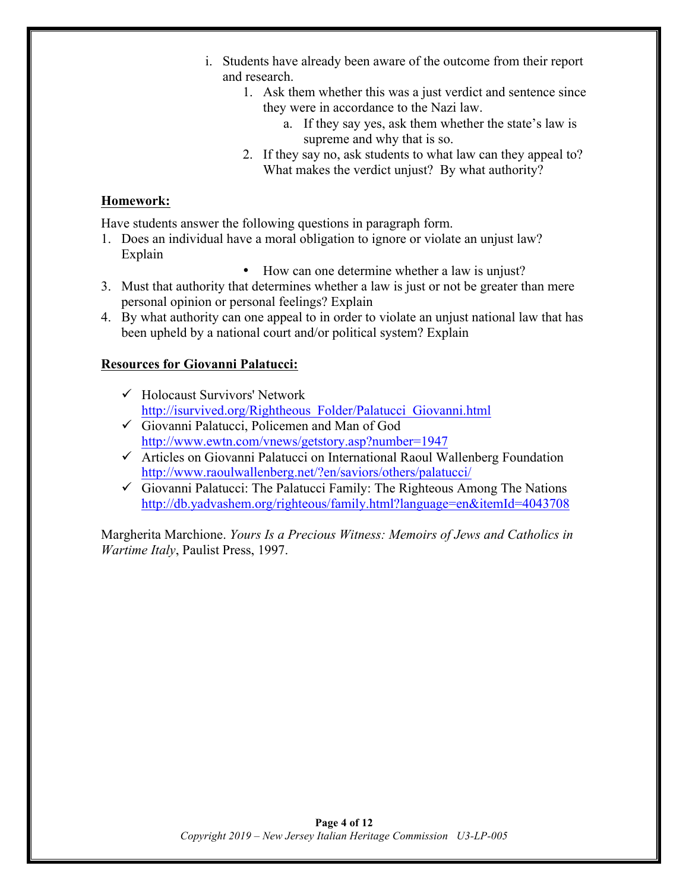- i. Students have already been aware of the outcome from their report and research.
	- 1. Ask them whether this was a just verdict and sentence since they were in accordance to the Nazi law.
		- a. If they say yes, ask them whether the state's law is supreme and why that is so.
	- 2. If they say no, ask students to what law can they appeal to? What makes the verdict unjust? By what authority?

#### **Homework:**

Have students answer the following questions in paragraph form.

- 1. Does an individual have a moral obligation to ignore or violate an unjust law? Explain
	- How can one determine whether a law is unjust?
- 3. Must that authority that determines whether a law is just or not be greater than mere personal opinion or personal feelings? Explain
- 4. By what authority can one appeal to in order to violate an unjust national law that has been upheld by a national court and/or political system? Explain

#### **Resources for Giovanni Palatucci:**

- $\checkmark$  Holocaust Survivors' Network http://isurvived.org/Rightheous\_Folder/Palatucci\_Giovanni.html
- $\checkmark$  Giovanni Palatucci, Policemen and Man of God http://www.ewtn.com/vnews/getstory.asp?number=1947
- $\checkmark$  Articles on Giovanni Palatucci on International Raoul Wallenberg Foundation http://www.raoulwallenberg.net/?en/saviors/others/palatucci/
- $\checkmark$  Giovanni Palatucci: The Palatucci Family: The Righteous Among The Nations http://db.yadvashem.org/righteous/family.html?language=en&itemId=4043708

Margherita Marchione. *Yours Is a Precious Witness: Memoirs of Jews and Catholics in Wartime Italy*, Paulist Press, 1997.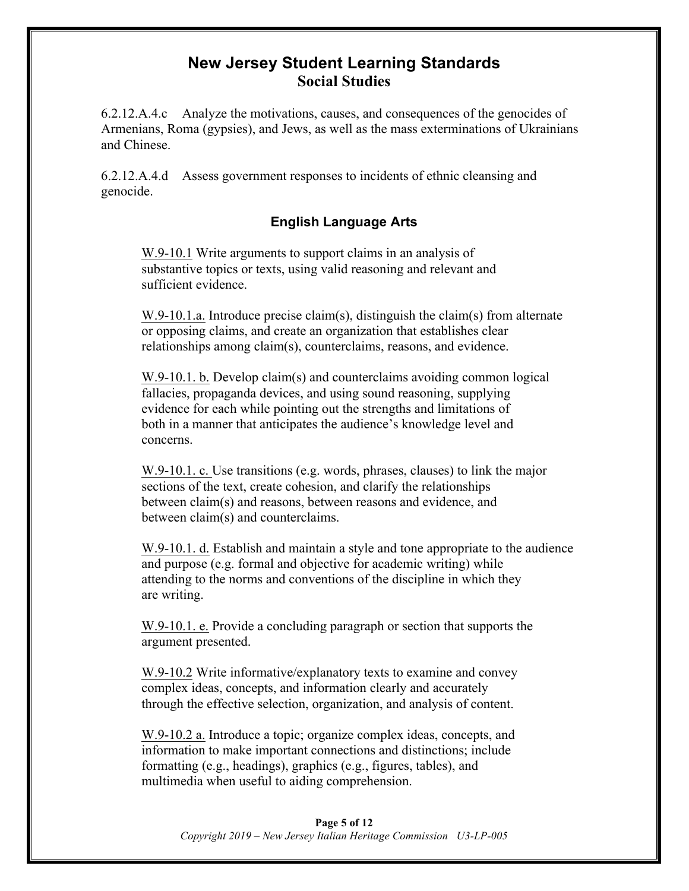## **New Jersey Student Learning Standards Social Studies**

6.2.12.A.4.c Analyze the motivations, causes, and consequences of the genocides of Armenians, Roma (gypsies), and Jews, as well as the mass exterminations of Ukrainians and Chinese.

6.2.12.A.4.d Assess government responses to incidents of ethnic cleansing and genocide.

### **English Language Arts**

W.9-10.1 Write arguments to support claims in an analysis of substantive topics or texts, using valid reasoning and relevant and sufficient evidence.

W.9-10.1.a. Introduce precise claim(s), distinguish the claim(s) from alternate or opposing claims, and create an organization that establishes clear relationships among claim(s), counterclaims, reasons, and evidence.

W.9-10.1. b. Develop claim(s) and counterclaims avoiding common logical fallacies, propaganda devices, and using sound reasoning, supplying evidence for each while pointing out the strengths and limitations of both in a manner that anticipates the audience's knowledge level and concerns.

W.9-10.1. c. Use transitions (e.g. words, phrases, clauses) to link the major sections of the text, create cohesion, and clarify the relationships between claim(s) and reasons, between reasons and evidence, and between claim(s) and counterclaims.

W.9-10.1. d. Establish and maintain a style and tone appropriate to the audience and purpose (e.g. formal and objective for academic writing) while attending to the norms and conventions of the discipline in which they are writing.

W.9-10.1. e. Provide a concluding paragraph or section that supports the argument presented.

W.9-10.2 Write informative/explanatory texts to examine and convey complex ideas, concepts, and information clearly and accurately through the effective selection, organization, and analysis of content.

W.9-10.2 a. Introduce a topic; organize complex ideas, concepts, and information to make important connections and distinctions; include formatting (e.g., headings), graphics (e.g., figures, tables), and multimedia when useful to aiding comprehension.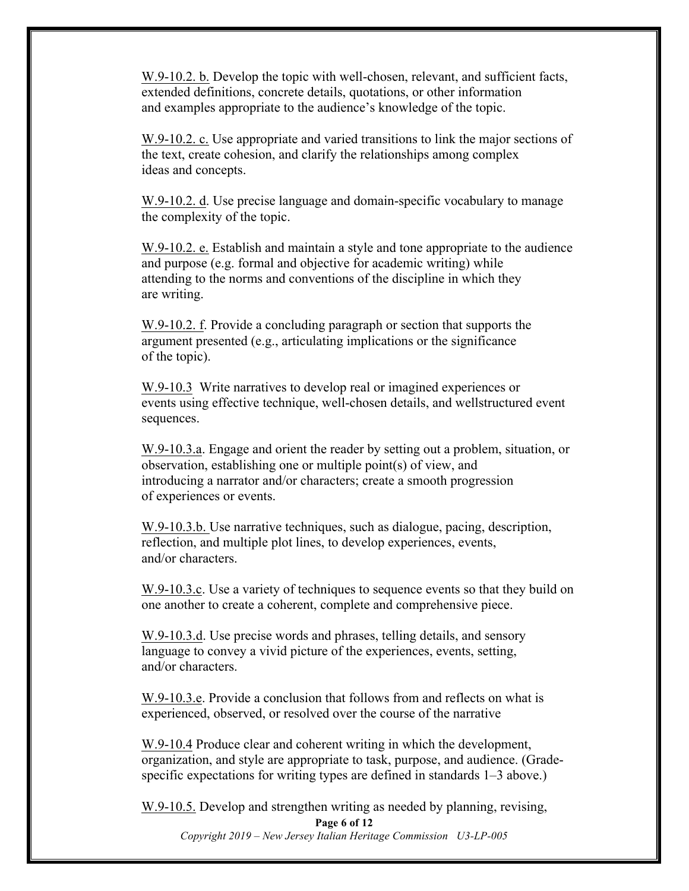W.9-10.2. b. Develop the topic with well-chosen, relevant, and sufficient facts, extended definitions, concrete details, quotations, or other information and examples appropriate to the audience's knowledge of the topic.

W.9-10.2. c. Use appropriate and varied transitions to link the major sections of the text, create cohesion, and clarify the relationships among complex ideas and concepts.

W.9-10.2. d. Use precise language and domain-specific vocabulary to manage the complexity of the topic.

W.9-10.2. e. Establish and maintain a style and tone appropriate to the audience and purpose (e.g. formal and objective for academic writing) while attending to the norms and conventions of the discipline in which they are writing.

W.9-10.2. f. Provide a concluding paragraph or section that supports the argument presented (e.g., articulating implications or the significance of the topic).

W.9-10.3 Write narratives to develop real or imagined experiences or events using effective technique, well-chosen details, and wellstructured event sequences.

W.9-10.3.a. Engage and orient the reader by setting out a problem, situation, or observation, establishing one or multiple point(s) of view, and introducing a narrator and/or characters; create a smooth progression of experiences or events.

W.9-10.3.b. Use narrative techniques, such as dialogue, pacing, description, reflection, and multiple plot lines, to develop experiences, events, and/or characters.

W.9-10.3.c. Use a variety of techniques to sequence events so that they build on one another to create a coherent, complete and comprehensive piece.

W.9-10.3.d. Use precise words and phrases, telling details, and sensory language to convey a vivid picture of the experiences, events, setting, and/or characters.

W.9-10.3.e. Provide a conclusion that follows from and reflects on what is experienced, observed, or resolved over the course of the narrative

W.9-10.4 Produce clear and coherent writing in which the development, organization, and style are appropriate to task, purpose, and audience. (Gradespecific expectations for writing types are defined in standards 1–3 above.)

W.9-10.5. Develop and strengthen writing as needed by planning, revising,

**Page 6 of 12** *Copyright 2019 – New Jersey Italian Heritage Commission U3-LP-005*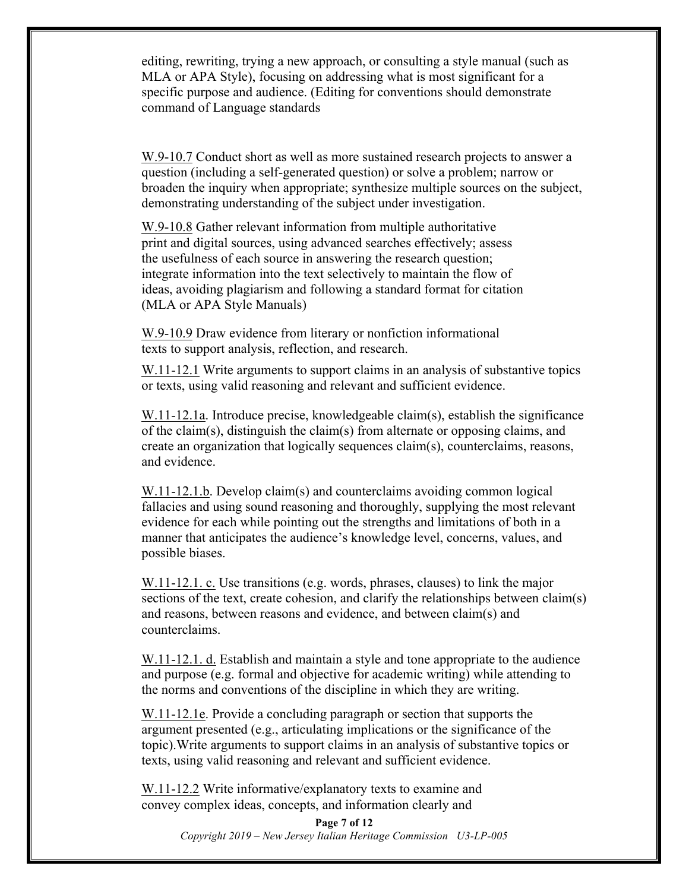editing, rewriting, trying a new approach, or consulting a style manual (such as MLA or APA Style), focusing on addressing what is most significant for a specific purpose and audience. (Editing for conventions should demonstrate command of Language standards

W.9-10.7 Conduct short as well as more sustained research projects to answer a question (including a self-generated question) or solve a problem; narrow or broaden the inquiry when appropriate; synthesize multiple sources on the subject, demonstrating understanding of the subject under investigation.

W.9-10.8 Gather relevant information from multiple authoritative print and digital sources, using advanced searches effectively; assess the usefulness of each source in answering the research question; integrate information into the text selectively to maintain the flow of ideas, avoiding plagiarism and following a standard format for citation (MLA or APA Style Manuals)

W.9-10.9 Draw evidence from literary or nonfiction informational texts to support analysis, reflection, and research.

W.11-12.1 Write arguments to support claims in an analysis of substantive topics or texts, using valid reasoning and relevant and sufficient evidence.

W.11-12.1a. Introduce precise, knowledgeable claim(s), establish the significance of the claim(s), distinguish the claim(s) from alternate or opposing claims, and create an organization that logically sequences claim(s), counterclaims, reasons, and evidence.

W.11-12.1.b. Develop claim(s) and counterclaims avoiding common logical fallacies and using sound reasoning and thoroughly, supplying the most relevant evidence for each while pointing out the strengths and limitations of both in a manner that anticipates the audience's knowledge level, concerns, values, and possible biases.

W.11-12.1. c. Use transitions (e.g. words, phrases, clauses) to link the major sections of the text, create cohesion, and clarify the relationships between claim(s) and reasons, between reasons and evidence, and between claim(s) and counterclaims.

W.11-12.1. d. Establish and maintain a style and tone appropriate to the audience and purpose (e.g. formal and objective for academic writing) while attending to the norms and conventions of the discipline in which they are writing.

W.11-12.1e. Provide a concluding paragraph or section that supports the argument presented (e.g., articulating implications or the significance of the topic).Write arguments to support claims in an analysis of substantive topics or texts, using valid reasoning and relevant and sufficient evidence.

W.11-12.2 Write informative/explanatory texts to examine and convey complex ideas, concepts, and information clearly and

> **Page 7 of 12** *Copyright 2019 – New Jersey Italian Heritage Commission U3-LP-005*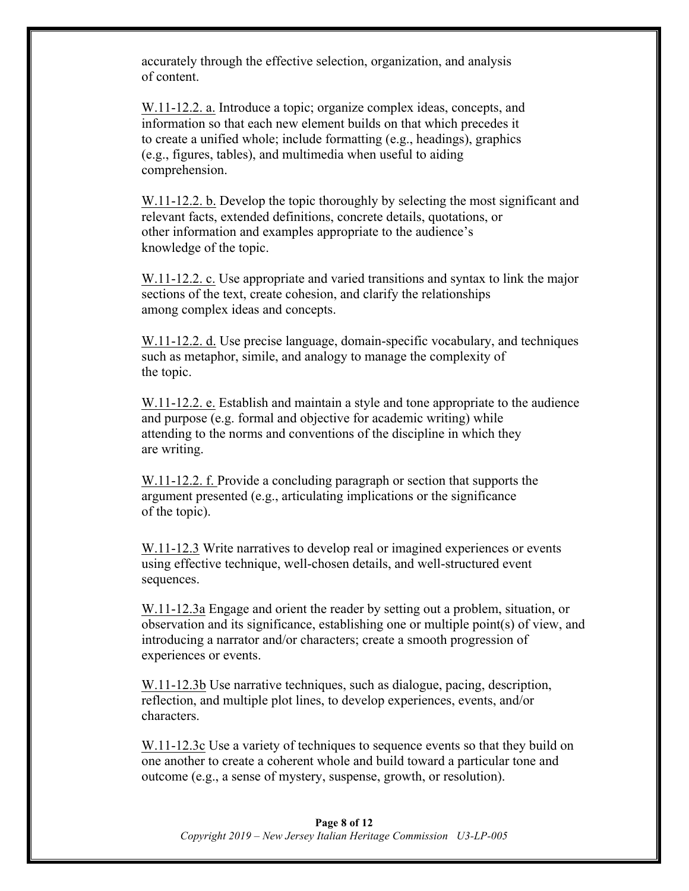accurately through the effective selection, organization, and analysis of content.

W.11-12.2. a. Introduce a topic; organize complex ideas, concepts, and information so that each new element builds on that which precedes it to create a unified whole; include formatting (e.g., headings), graphics (e.g., figures, tables), and multimedia when useful to aiding comprehension.

W.11-12.2. b. Develop the topic thoroughly by selecting the most significant and relevant facts, extended definitions, concrete details, quotations, or other information and examples appropriate to the audience's knowledge of the topic.

W.11-12.2. c. Use appropriate and varied transitions and syntax to link the major sections of the text, create cohesion, and clarify the relationships among complex ideas and concepts.

W.11-12.2. d. Use precise language, domain-specific vocabulary, and techniques such as metaphor, simile, and analogy to manage the complexity of the topic.

W.11-12.2. e. Establish and maintain a style and tone appropriate to the audience and purpose (e.g. formal and objective for academic writing) while attending to the norms and conventions of the discipline in which they are writing.

W.11-12.2. f. Provide a concluding paragraph or section that supports the argument presented (e.g., articulating implications or the significance of the topic).

W.11-12.3 Write narratives to develop real or imagined experiences or events using effective technique, well-chosen details, and well-structured event sequences.

W.11-12.3a Engage and orient the reader by setting out a problem, situation, or observation and its significance, establishing one or multiple point(s) of view, and introducing a narrator and/or characters; create a smooth progression of experiences or events.

W.11-12.3b Use narrative techniques, such as dialogue, pacing, description, reflection, and multiple plot lines, to develop experiences, events, and/or characters.

W.11-12.3c Use a variety of techniques to sequence events so that they build on one another to create a coherent whole and build toward a particular tone and outcome (e.g., a sense of mystery, suspense, growth, or resolution).

#### **Page 8 of 12** *Copyright 2019 – New Jersey Italian Heritage Commission U3-LP-005*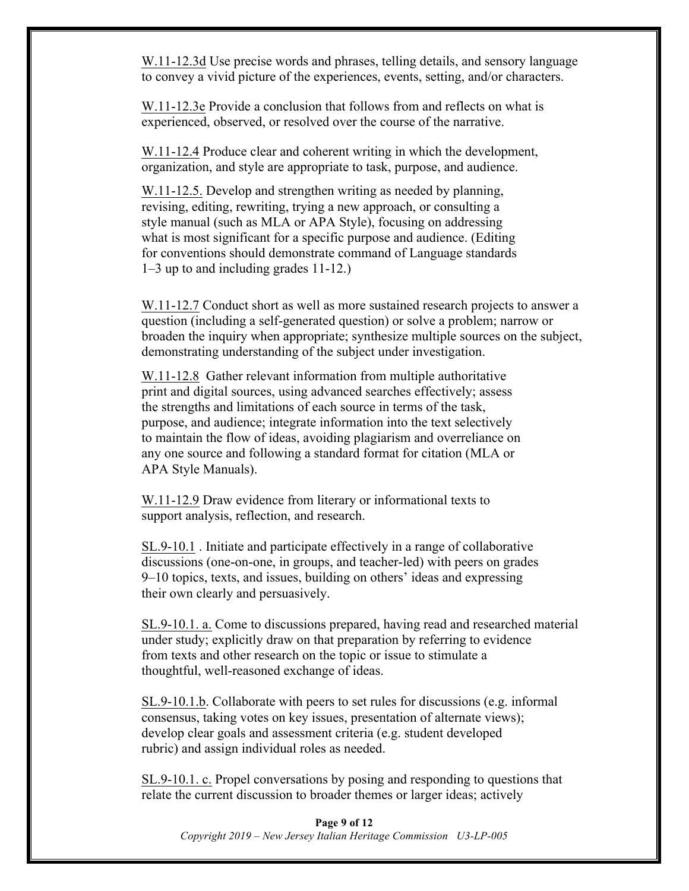W.11-12.3d Use precise words and phrases, telling details, and sensory language to convey a vivid picture of the experiences, events, setting, and/or characters.

W.11-12.3e Provide a conclusion that follows from and reflects on what is experienced, observed, or resolved over the course of the narrative.

W.11-12.4 Produce clear and coherent writing in which the development, organization, and style are appropriate to task, purpose, and audience.

W.11-12.5. Develop and strengthen writing as needed by planning, revising, editing, rewriting, trying a new approach, or consulting a style manual (such as MLA or APA Style), focusing on addressing what is most significant for a specific purpose and audience. (Editing for conventions should demonstrate command of Language standards 1–3 up to and including grades 11-12.)

W.11-12.7 Conduct short as well as more sustained research projects to answer a question (including a self-generated question) or solve a problem; narrow or broaden the inquiry when appropriate; synthesize multiple sources on the subject, demonstrating understanding of the subject under investigation.

W.11-12.8 Gather relevant information from multiple authoritative print and digital sources, using advanced searches effectively; assess the strengths and limitations of each source in terms of the task, purpose, and audience; integrate information into the text selectively to maintain the flow of ideas, avoiding plagiarism and overreliance on any one source and following a standard format for citation (MLA or APA Style Manuals).

W.11-12.9 Draw evidence from literary or informational texts to support analysis, reflection, and research.

SL.9-10.1 . Initiate and participate effectively in a range of collaborative discussions (one-on-one, in groups, and teacher-led) with peers on grades 9–10 topics, texts, and issues, building on others' ideas and expressing their own clearly and persuasively.

SL.9-10.1. a. Come to discussions prepared, having read and researched material under study; explicitly draw on that preparation by referring to evidence from texts and other research on the topic or issue to stimulate a thoughtful, well-reasoned exchange of ideas.

SL.9-10.1.b. Collaborate with peers to set rules for discussions (e.g. informal consensus, taking votes on key issues, presentation of alternate views); develop clear goals and assessment criteria (e.g. student developed rubric) and assign individual roles as needed.

SL.9-10.1. c. Propel conversations by posing and responding to questions that relate the current discussion to broader themes or larger ideas; actively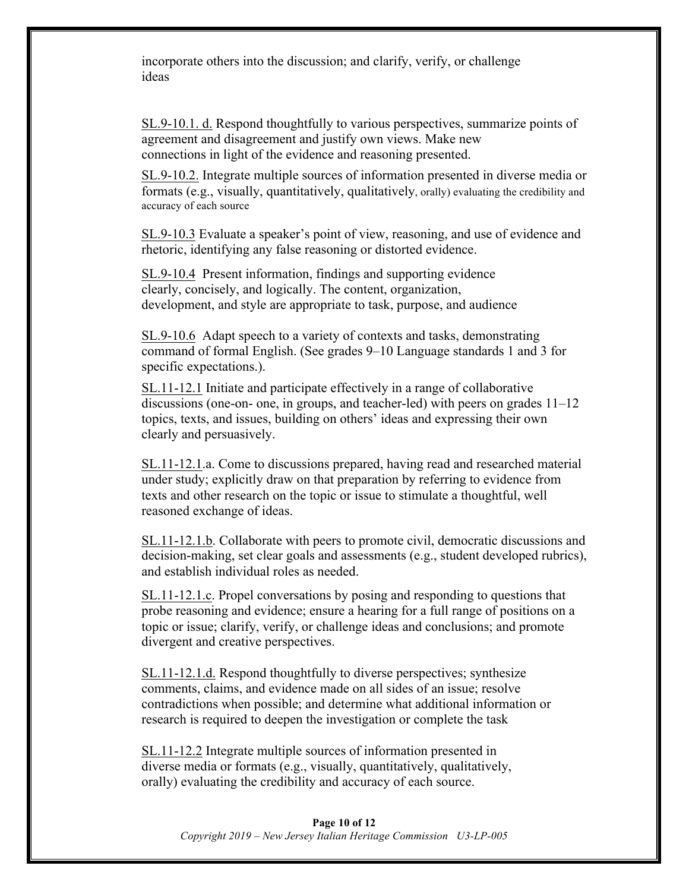incorporate others into the discussion; and clarify, verify, or challenge ideas

SL.9-10.1. d. Respond thoughtfully to various perspectives, summarize points of agreement and disagreement and justify own views. Make new connections in light of the evidence and reasoning presented.

SL.9-10.2. Integrate multiple sources of information presented in diverse media or formats (e.g., visually, quantitatively, qualitatively, orally) evaluating the credibility and accuracy of each source

SL.9-10.3 Evaluate a speaker's point of view, reasoning, and use of evidence and rhetoric, identifying any false reasoning or distorted evidence.

SL.9-10.4 Present information, findings and supporting evidence clearly, concisely, and logically. The content, organization, development, and style are appropriate to task, purpose, and audience

SL.9-10.6 Adapt speech to a variety of contexts and tasks, demonstrating command of formal English. (See grades 9–10 Language standards 1 and 3 for specific expectations.).

SL.11-12.1 Initiate and participate effectively in a range of collaborative discussions (one-on- one, in groups, and teacher-led) with peers on grades 11–12 topics, texts, and issues, building on others' ideas and expressing their own clearly and persuasively.

SL.11-12.1.a. Come to discussions prepared, having read and researched material under study; explicitly draw on that preparation by referring to evidence from texts and other research on the topic or issue to stimulate a thoughtful, well reasoned exchange of ideas.

SL.11-12.1.b. Collaborate with peers to promote civil, democratic discussions and decision-making, set clear goals and assessments (e.g., student developed rubrics), and establish individual roles as needed.

SL.11-12.1.c. Propel conversations by posing and responding to questions that probe reasoning and evidence; ensure a hearing for a full range of positions on a topic or issue; clarify, verify, or challenge ideas and conclusions; and promote divergent and creative perspectives.

SL.11-12.1.d. Respond thoughtfully to diverse perspectives; synthesize comments, claims, and evidence made on all sides of an issue; resolve contradictions when possible; and determine what additional information or research is required to deepen the investigation or complete the task

SL.11-12.2 Integrate multiple sources of information presented in diverse media or formats (e.g., visually, quantitatively, qualitatively, orally) evaluating the credibility and accuracy of each source.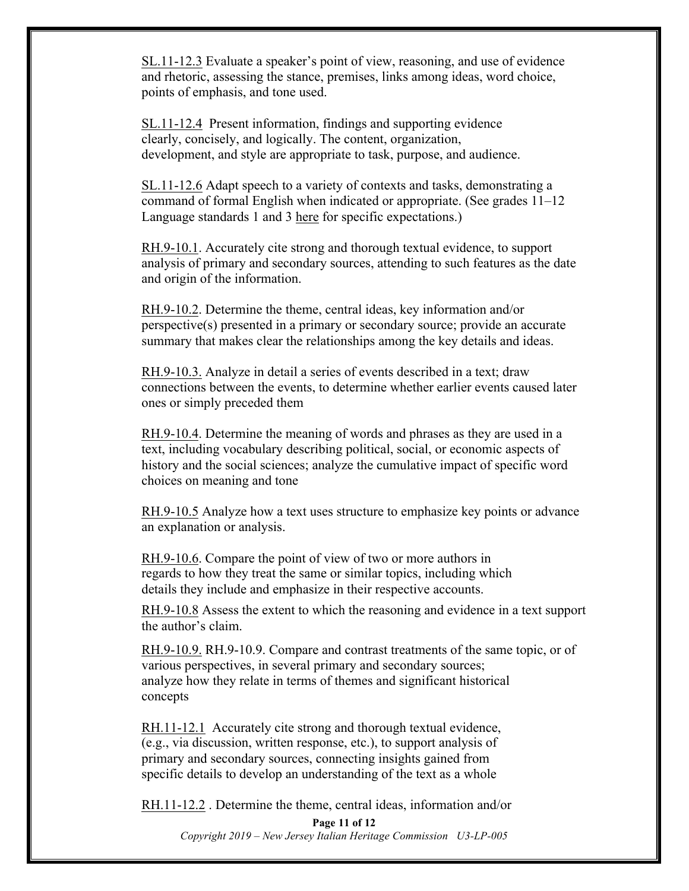SL.11-12.3 Evaluate a speaker's point of view, reasoning, and use of evidence and rhetoric, assessing the stance, premises, links among ideas, word choice, points of emphasis, and tone used.

SL.11-12.4 Present information, findings and supporting evidence clearly, concisely, and logically. The content, organization, development, and style are appropriate to task, purpose, and audience.

SL.11-12.6 Adapt speech to a variety of contexts and tasks, demonstrating a command of formal English when indicated or appropriate. (See grades 11–12 Language standards 1 and 3 here for specific expectations.)

RH.9-10.1. Accurately cite strong and thorough textual evidence, to support analysis of primary and secondary sources, attending to such features as the date and origin of the information.

RH.9-10.2. Determine the theme, central ideas, key information and/or perspective(s) presented in a primary or secondary source; provide an accurate summary that makes clear the relationships among the key details and ideas.

RH.9-10.3. Analyze in detail a series of events described in a text; draw connections between the events, to determine whether earlier events caused later ones or simply preceded them

RH.9-10.4. Determine the meaning of words and phrases as they are used in a text, including vocabulary describing political, social, or economic aspects of history and the social sciences; analyze the cumulative impact of specific word choices on meaning and tone

RH.9-10.5 Analyze how a text uses structure to emphasize key points or advance an explanation or analysis.

RH.9-10.6. Compare the point of view of two or more authors in regards to how they treat the same or similar topics, including which details they include and emphasize in their respective accounts.

RH.9-10.8 Assess the extent to which the reasoning and evidence in a text support the author's claim.

RH.9-10.9. RH.9-10.9. Compare and contrast treatments of the same topic, or of various perspectives, in several primary and secondary sources; analyze how they relate in terms of themes and significant historical concepts

RH.11-12.1 Accurately cite strong and thorough textual evidence, (e.g., via discussion, written response, etc.), to support analysis of primary and secondary sources, connecting insights gained from specific details to develop an understanding of the text as a whole

RH.11-12.2 . Determine the theme, central ideas, information and/or

**Page 11 of 12** *Copyright 2019 – New Jersey Italian Heritage Commission U3-LP-005*